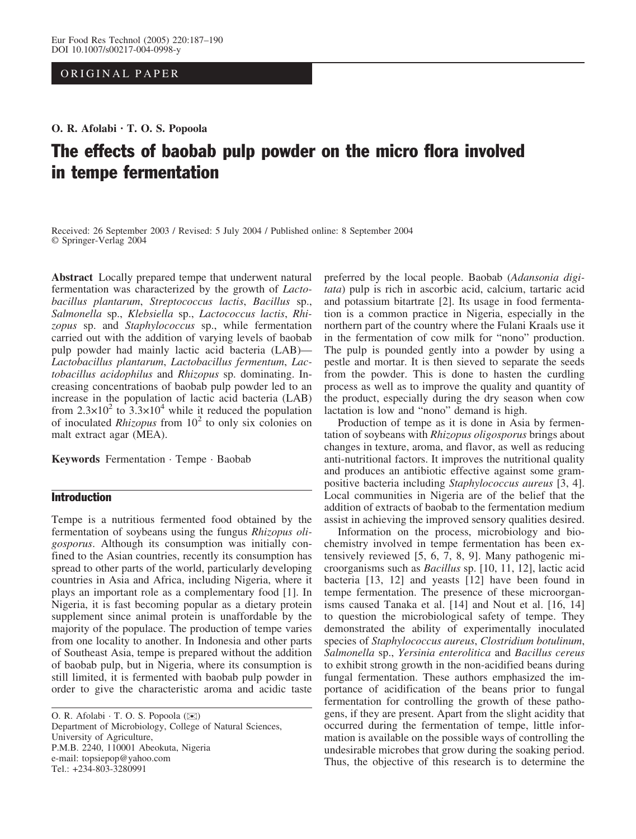ORIGINAL PAPER

O. R. Afolabi · T. O. S. Popoola

# The effects of baobab pulp powder on the micro flora involved in tempe fermentation

Received: 26 September 2003 / Revised: 5 July 2004 / Published online: 8 September 2004 Springer-Verlag 2004

Abstract Locally prepared tempe that underwent natural fermentation was characterized by the growth of Lactobacillus plantarum, Streptococcus lactis, Bacillus sp., Salmonella sp., Klebsiella sp., Lactococcus lactis, Rhizopus sp. and Staphylococcus sp., while fermentation carried out with the addition of varying levels of baobab pulp powder had mainly lactic acid bacteria (LAB)— Lactobacillus plantarum, Lactobacillus fermentum, Lactobacillus acidophilus and Rhizopus sp. dominating. Increasing concentrations of baobab pulp powder led to an increase in the population of lactic acid bacteria (LAB) from  $2.3 \times 10^2$  to  $3.3 \times 10^4$  while it reduced the population of inoculated *Rhizopus* from  $10^2$  to only six colonies on malt extract agar (MEA).

Keywords Fermentation · Tempe · Baobab

## Introduction

Tempe is a nutritious fermented food obtained by the fermentation of soybeans using the fungus Rhizopus oligosporus. Although its consumption was initially confined to the Asian countries, recently its consumption has spread to other parts of the world, particularly developing countries in Asia and Africa, including Nigeria, where it plays an important role as a complementary food [1]. In Nigeria, it is fast becoming popular as a dietary protein supplement since animal protein is unaffordable by the majority of the populace. The production of tempe varies from one locality to another. In Indonesia and other parts of Southeast Asia, tempe is prepared without the addition of baobab pulp, but in Nigeria, where its consumption is still limited, it is fermented with baobab pulp powder in order to give the characteristic aroma and acidic taste

O. R. Afolabi · T. O. S. Popoola (*)*) Department of Microbiology, College of Natural Sciences, University of Agriculture, P.M.B. 2240, 110001 Abeokuta, Nigeria e-mail: topsiepop@yahoo.com Tel.: +234-803-3280991

preferred by the local people. Baobab (Adansonia digitata) pulp is rich in ascorbic acid, calcium, tartaric acid and potassium bitartrate [2]. Its usage in food fermentation is a common practice in Nigeria, especially in the northern part of the country where the Fulani Kraals use it in the fermentation of cow milk for "nono" production. The pulp is pounded gently into a powder by using a pestle and mortar. It is then sieved to separate the seeds from the powder. This is done to hasten the curdling process as well as to improve the quality and quantity of the product, especially during the dry season when cow lactation is low and "nono" demand is high.

Production of tempe as it is done in Asia by fermentation of soybeans with *Rhizopus oligosporus* brings about changes in texture, aroma, and flavor, as well as reducing anti-nutritional factors. It improves the nutritional quality and produces an antibiotic effective against some grampositive bacteria including Staphylococcus aureus [3, 4]. Local communities in Nigeria are of the belief that the addition of extracts of baobab to the fermentation medium assist in achieving the improved sensory qualities desired.

Information on the process, microbiology and biochemistry involved in tempe fermentation has been extensively reviewed [5, 6, 7, 8, 9]. Many pathogenic microorganisms such as Bacillus sp. [10, 11, 12], lactic acid bacteria [13, 12] and yeasts [12] have been found in tempe fermentation. The presence of these microorganisms caused Tanaka et al. [14] and Nout et al. [16, 14] to question the microbiological safety of tempe. They demonstrated the ability of experimentally inoculated species of Staphylococcus aureus, Clostridium botulinum, Salmonella sp., Yersinia enterolitica and Bacillus cereus to exhibit strong growth in the non-acidified beans during fungal fermentation. These authors emphasized the importance of acidification of the beans prior to fungal fermentation for controlling the growth of these pathogens, if they are present. Apart from the slight acidity that occurred during the fermentation of tempe, little information is available on the possible ways of controlling the undesirable microbes that grow during the soaking period. Thus, the objective of this research is to determine the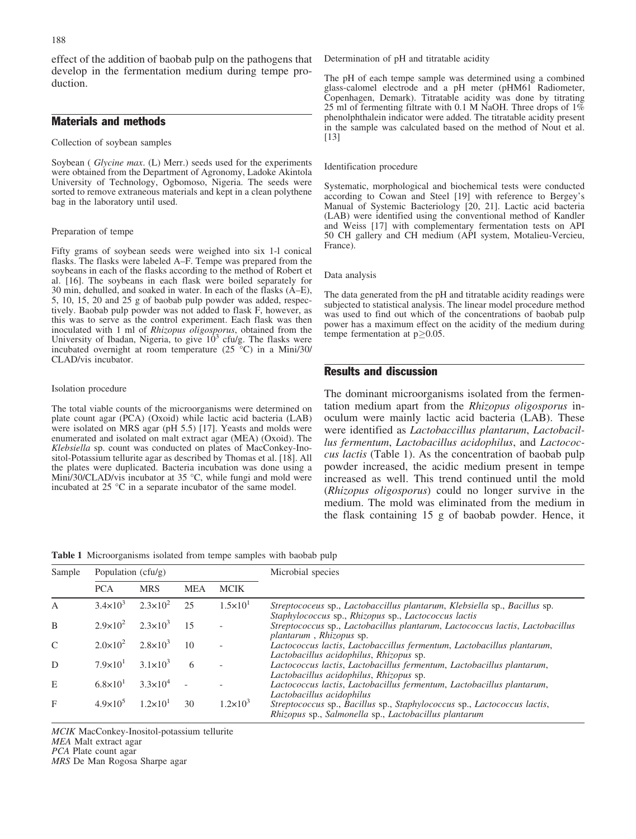effect of the addition of baobab pulp on the pathogens that develop in the fermentation medium during tempe production.

## Materials and methods

### Collection of soybean samples

Soybean ( Glycine max. (L) Merr.) seeds used for the experiments were obtained from the Department of Agronomy, Ladoke Akintola University of Technology, Ogbomoso, Nigeria. The seeds were sorted to remove extraneous materials and kept in a clean polythene bag in the laboratory until used.

#### Preparation of tempe

Fifty grams of soybean seeds were weighed into six 1-l conical flasks. The flasks were labeled A–F. Tempe was prepared from the soybeans in each of the flasks according to the method of Robert et al. [16]. The soybeans in each flask were boiled separately for 30 min, dehulled, and soaked in water. In each of the flasks (A–E), 5, 10, 15, 20 and 25 g of baobab pulp powder was added, respectively. Baobab pulp powder was not added to flask F, however, as this was to serve as the control experiment. Each flask was then inoculated with 1 ml of Rhizopus oligosporus, obtained from the University of Ibadan, Nigeria, to give  $10^3$  cfu/g. The flasks were incubated overnight at room temperature  $(25 \degree C)$  in a Mini/30/ CLAD/vis incubator.

#### Isolation procedure

The total viable counts of the microorganisms were determined on plate count agar (PCA) (Oxoid) while lactic acid bacteria (LAB) were isolated on MRS agar (pH 5.5) [17]. Yeasts and molds were enumerated and isolated on malt extract agar (MEA) (Oxoid). The Klebsiella sp. count was conducted on plates of MacConkey-Inositol-Potassium tellurite agar as described by Thomas et al. [18]. All the plates were duplicated. Bacteria incubation was done using a Mini/30/CLAD/vis incubator at 35  $\degree$ C, while fungi and mold were incubated at  $25 \text{ °C}$  in a separate incubator of the same model.

Determination of pH and titratable acidity

The pH of each tempe sample was determined using a combined glass-calomel electrode and a pH meter (pHM61 Radiometer, Copenhagen, Demark). Titratable acidity was done by titrating 25 ml of fermenting filtrate with 0.1 M NaOH. Three drops of 1% phenolphthalein indicator were added. The titratable acidity present in the sample was calculated based on the method of Nout et al. [13]

#### Identification procedure

Systematic, morphological and biochemical tests were conducted according to Cowan and Steel [19] with reference to Bergey's Manual of Systemic Bacteriology [20, 21]. Lactic acid bacteria (LAB) were identified using the conventional method of Kandler and Weiss [17] with complementary fermentation tests on API 50 CH gallery and CH medium (API system, Motalieu-Vercieu, France).

#### Data analysis

The data generated from the pH and titratable acidity readings were subjected to statistical analysis. The linear model procedure method was used to find out which of the concentrations of baobab pulp power has a maximum effect on the acidity of the medium during tempe fermentation at  $p \geq 0.05$ .

## Results and discussion

The dominant microorganisms isolated from the fermentation medium apart from the Rhizopus oligosporus inoculum were mainly lactic acid bacteria (LAB). These were identified as Lactobaccillus plantarum, Lactobacillus fermentum, Lactobacillus acidophilus, and Lactococcus lactis (Table 1). As the concentration of baobab pulp powder increased, the acidic medium present in tempe increased as well. This trend continued until the mold (Rhizopus oligosporus) could no longer survive in the medium. The mold was eliminated from the medium in the flask containing 15 g of baobab powder. Hence, it

Table 1 Microorganisms isolated from tempe samples with baobab pulp

| Sample        | Population $(cfu/g)$ |                     |            |                     | Microbial species                                                                                                                 |
|---------------|----------------------|---------------------|------------|---------------------|-----------------------------------------------------------------------------------------------------------------------------------|
|               | <b>PCA</b>           | <b>MRS</b>          | <b>MEA</b> | <b>MCIK</b>         |                                                                                                                                   |
| А             | $3.4 \times 10^{3}$  | $2.3 \times 10^2$   | 25         | $1.5 \times 10^{1}$ | Streptococeus sp., Lactobaccillus plantarum, Klebsiella sp., Bacillus sp.<br>Staphylococcus sp., Rhizopus sp., Lactococcus lactis |
| B             | $2.9 \times 10^2$    | $2.3 \times 10^3$   | 15         |                     | Streptococcus sp., Lactobacillus plantarum, Lactococcus lactis, Lactobacillus<br><i>plantarum, Rhizopus sp.</i>                   |
| $\mathcal{C}$ | $2.0 \times 10^{2}$  | $2.8 \times 10^3$   | 10         |                     | Lactococcus lactis, Lactobaccillus fermentum, Lactobacillus plantarum,<br>Lactobacillus acidophilus, Rhizopus sp.                 |
| D             | $7.9 \times 10^{1}$  | $3.1 \times 10^3$   | 6          |                     | Lactococcus lactis, Lactobacillus fermentum, Lactobacillus plantarum,<br>Lactobacillus acidophilus, Rhizopus sp.                  |
| E             | $6.8 \times 10^{1}$  | $3.3 \times 10^4$   |            |                     | Lactococcus lactis, Lactobacillus fermentum, Lactobacillus plantarum,<br>Lactobacillus acidophilus                                |
| F             | $4.9 \times 10^{5}$  | $1.2 \times 10^{1}$ | 30         | $1.2 \times 10^3$   | Streptococcus sp., Bacillus sp., Staphylococcus sp., Lactococcus lactis,<br>Rhizopus sp., Salmonella sp., Lactobacillus plantarum |

MCIK MacConkey-Inositol-potassium tellurite

MEA Malt extract agar

PCA Plate count agar

MRS De Man Rogosa Sharpe agar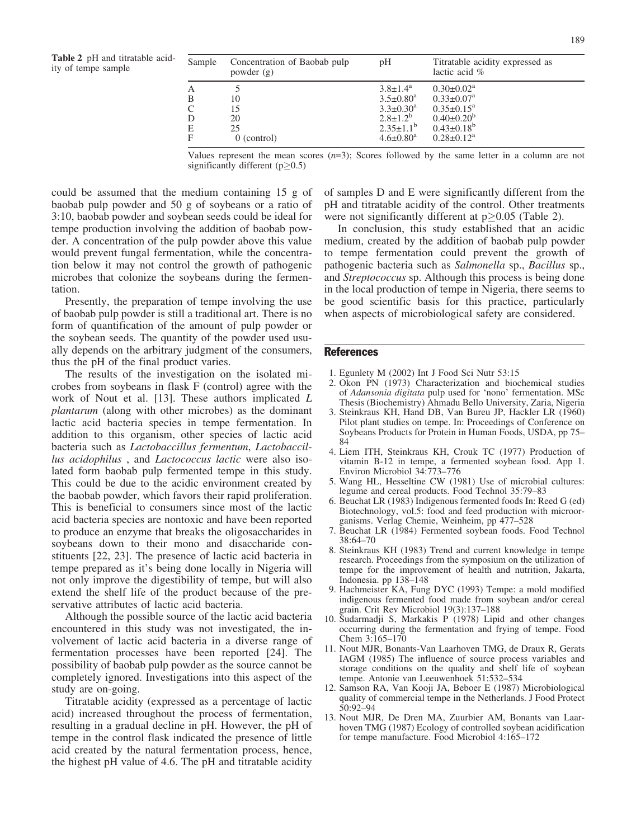Table 2 pH and titratable acidity of tempe sample

| Sample       | Concentration of Baobab pulp<br>powder $(g)$ | pH                     | Titratable acidity expressed as<br>lactic acid $\%$ |
|--------------|----------------------------------------------|------------------------|-----------------------------------------------------|
| А            |                                              | $3.8 \pm 1.4^{\rm a}$  | $0.30 \pm 0.02^{\text{a}}$                          |
| B            | 10                                           | $3.5 \pm 0.80^a$       | $0.33 \pm 0.07^{\text{a}}$                          |
| C            | 15                                           | $3.3 \pm 0.30^a$       | $0.35 \pm 0.15^a$                                   |
| D            | 20                                           | $2.8 \pm 1.2^b$        | $0.40 \pm 0.20^{\circ}$                             |
| E            | 25                                           | $2.35 \pm 1.1^{\circ}$ | $0.43 \pm 0.18^b$                                   |
| $\mathbf{F}$ | $0$ (control)                                | $4.6 \pm 0.80^a$       | $0.28 \pm 0.12^a$                                   |

Values represent the mean scores  $(n=3)$ ; Scores followed by the same letter in a column are not significantly different ( $p \ge 0.5$ )

could be assumed that the medium containing 15 g of baobab pulp powder and 50 g of soybeans or a ratio of 3:10, baobab powder and soybean seeds could be ideal for tempe production involving the addition of baobab powder. A concentration of the pulp powder above this value would prevent fungal fermentation, while the concentration below it may not control the growth of pathogenic microbes that colonize the soybeans during the fermentation.

Presently, the preparation of tempe involving the use of baobab pulp powder is still a traditional art. There is no form of quantification of the amount of pulp powder or the soybean seeds. The quantity of the powder used usually depends on the arbitrary judgment of the consumers, thus the pH of the final product varies.

The results of the investigation on the isolated microbes from soybeans in flask F (control) agree with the work of Nout et al. [13]. These authors implicated L plantarum (along with other microbes) as the dominant lactic acid bacteria species in tempe fermentation. In addition to this organism, other species of lactic acid bacteria such as Lactobaccillus fermentum, Lactobaccillus acidophilus , and Lactococcus lactic were also isolated form baobab pulp fermented tempe in this study. This could be due to the acidic environment created by the baobab powder, which favors their rapid proliferation. This is beneficial to consumers since most of the lactic acid bacteria species are nontoxic and have been reported to produce an enzyme that breaks the oligosaccharides in soybeans down to their mono and disaccharide constituents [22, 23]. The presence of lactic acid bacteria in tempe prepared as it's being done locally in Nigeria will not only improve the digestibility of tempe, but will also extend the shelf life of the product because of the preservative attributes of lactic acid bacteria.

Although the possible source of the lactic acid bacteria encountered in this study was not investigated, the involvement of lactic acid bacteria in a diverse range of fermentation processes have been reported [24]. The possibility of baobab pulp powder as the source cannot be completely ignored. Investigations into this aspect of the study are on-going.

Titratable acidity (expressed as a percentage of lactic acid) increased throughout the process of fermentation, resulting in a gradual decline in pH. However, the pH of tempe in the control flask indicated the presence of little acid created by the natural fermentation process, hence, the highest pH value of 4.6. The pH and titratable acidity

of samples D and E were significantly different from the pH and titratable acidity of the control. Other treatments were not significantly different at  $p\geq0.05$  (Table 2).

In conclusion, this study established that an acidic medium, created by the addition of baobab pulp powder to tempe fermentation could prevent the growth of pathogenic bacteria such as Salmonella sp., Bacillus sp., and Streptococcus sp. Although this process is being done in the local production of tempe in Nigeria, there seems to be good scientific basis for this practice, particularly when aspects of microbiological safety are considered.

## **References**

- 1. Egunlety M (2002) Int J Food Sci Nutr 53:15
- 2. Okon PN (1973) Characterization and biochemical studies of Adansonia digitata pulp used for 'nono' fermentation. MSc Thesis (Biochemistry) Ahmadu Bello University, Zaria, Nigeria
- 3. Steinkraus KH, Hand DB, Van Bureu JP, Hackler LR (1960) Pilot plant studies on tempe. In: Proceedings of Conference on Soybeans Products for Protein in Human Foods, USDA, pp 75– 84
- 4. Liem ITH, Steinkraus KH, Crouk TC (1977) Production of vitamin B-12 in tempe, a fermented soybean food. App 1. Environ Microbiol 34:773–776
- 5. Wang HL, Hesseltine CW (1981) Use of microbial cultures: legume and cereal products. Food Technol 35:79–83
- 6. Beuchat LR (1983) Indigenous fermented foods In: Reed G (ed) Biotechnology, vol.5: food and feed production with microorganisms. Verlag Chemie, Weinheim, pp 477–528
- 7. Beuchat LR (1984) Fermented soybean foods. Food Technol  $38.64 - 70$
- 8. Steinkraus KH (1983) Trend and current knowledge in tempe research. Proceedings from the symposium on the utilization of tempe for the improvement of health and nutrition, Jakarta, Indonesia. pp 138–148
- 9. Hachmeister KA, Fung DYC (1993) Tempe: a mold modified indigenous fermented food made from soybean and/or cereal grain. Crit Rev Microbiol 19(3):137–188
- 10. Sudarmadji S, Markakis P (1978) Lipid and other changes occurring during the fermentation and frying of tempe. Food Chem 3:165–170
- 11. Nout MJR, Bonants-Van Laarhoven TMG, de Draux R, Gerats IAGM (1985) The influence of source process variables and storage conditions on the quality and shelf life of soybean tempe. Antonie van Leeuwenhoek 51:532–534
- 12. Samson RA, Van Kooji JA, Beboer E (1987) Microbiological quality of commercial tempe in the Netherlands. J Food Protect 50:92–94
- 13. Nout MJR, De Dren MA, Zuurbier AM, Bonants van Laarhoven TMG (1987) Ecology of controlled soybean acidification for tempe manufacture. Food Microbiol 4:165–172